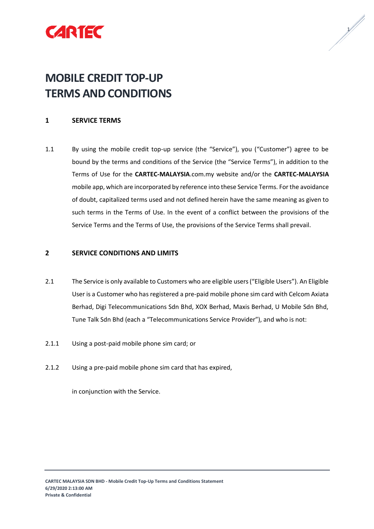



# **MOBILE CREDIT TOP-UP TERMS AND CONDITIONS**

## **1 SERVICE TERMS**

1.1 By using the mobile credit top-up service (the "Service"), you ("Customer") agree to be bound by the terms and conditions of the Service (the "Service Terms"), in addition to the Terms of Use for the **CARTEC-MALAYSIA**.com.my website and/or the **CARTEC-MALAYSIA** mobile app, which are incorporated by reference into these Service Terms. For the avoidance of doubt, capitalized terms used and not defined herein have the same meaning as given to such terms in the Terms of Use. In the event of a conflict between the provisions of the Service Terms and the Terms of Use, the provisions of the Service Terms shall prevail.

### **2 SERVICE CONDITIONS AND LIMITS**

- 2.1 The Service is only available to Customers who are eligible users ("Eligible Users"). An Eligible User is a Customer who has registered a pre-paid mobile phone sim card with Celcom Axiata Berhad, Digi Telecommunications Sdn Bhd, XOX Berhad, Maxis Berhad, U Mobile Sdn Bhd, Tune Talk Sdn Bhd (each a "Telecommunications Service Provider"), and who is not:
- 2.1.1 Using a post-paid mobile phone sim card; or
- 2.1.2 Using a pre-paid mobile phone sim card that has expired,

in conjunction with the Service.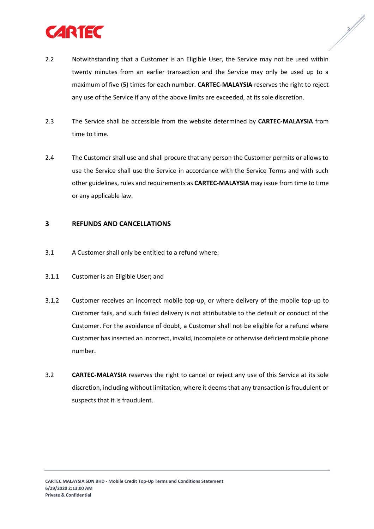

2.2 Notwithstanding that a Customer is an Eligible User, the Service may not be used within twenty minutes from an earlier transaction and the Service may only be used up to a maximum of five (5) times for each number. **CARTEC-MALAYSIA** reserves the right to reject any use of the Service if any of the above limits are exceeded, at its sole discretion.

 $\frac{2}{\sqrt{2}}$ 

- 2.3 The Service shall be accessible from the website determined by **CARTEC-MALAYSIA** from time to time.
- 2.4 The Customer shall use and shall procure that any person the Customer permits or allows to use the Service shall use the Service in accordance with the Service Terms and with such other guidelines, rules and requirements as **CARTEC-MALAYSIA** may issue from time to time or any applicable law.

#### **3 REFUNDS AND CANCELLATIONS**

- 3.1 A Customer shall only be entitled to a refund where:
- 3.1.1 Customer is an Eligible User; and
- 3.1.2 Customer receives an incorrect mobile top-up, or where delivery of the mobile top-up to Customer fails, and such failed delivery is not attributable to the default or conduct of the Customer. For the avoidance of doubt, a Customer shall not be eligible for a refund where Customer has inserted an incorrect, invalid, incomplete or otherwise deficient mobile phone number.
- 3.2 **CARTEC-MALAYSIA** reserves the right to cancel or reject any use of this Service at its sole discretion, including without limitation, where it deems that any transaction is fraudulent or suspects that it is fraudulent.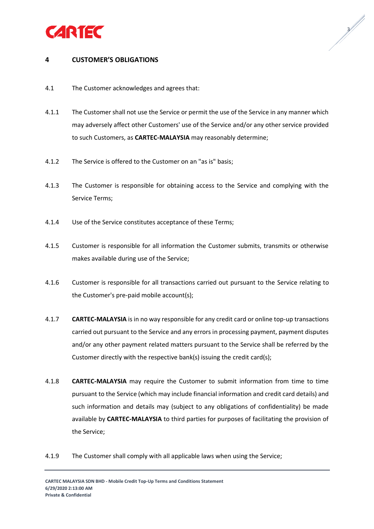



## **4 CUSTOMER'S OBLIGATIONS**

- 4.1 The Customer acknowledges and agrees that:
- 4.1.1 The Customer shall not use the Service or permit the use of the Service in any manner which may adversely affect other Customers' use of the Service and/or any other service provided to such Customers, as **CARTEC-MALAYSIA** may reasonably determine;
- 4.1.2 The Service is offered to the Customer on an "as is" basis;
- 4.1.3 The Customer is responsible for obtaining access to the Service and complying with the Service Terms;
- 4.1.4 Use of the Service constitutes acceptance of these Terms;
- 4.1.5 Customer is responsible for all information the Customer submits, transmits or otherwise makes available during use of the Service;
- 4.1.6 Customer is responsible for all transactions carried out pursuant to the Service relating to the Customer's pre-paid mobile account(s);
- 4.1.7 **CARTEC-MALAYSIA** is in no way responsible for any credit card or online top-up transactions carried out pursuant to the Service and any errors in processing payment, payment disputes and/or any other payment related matters pursuant to the Service shall be referred by the Customer directly with the respective bank(s) issuing the credit card(s);
- 4.1.8 **CARTEC-MALAYSIA** may require the Customer to submit information from time to time pursuant to the Service (which may include financial information and credit card details) and such information and details may (subject to any obligations of confidentiality) be made available by **CARTEC-MALAYSIA** to third parties for purposes of facilitating the provision of the Service;
- 4.1.9 The Customer shall comply with all applicable laws when using the Service;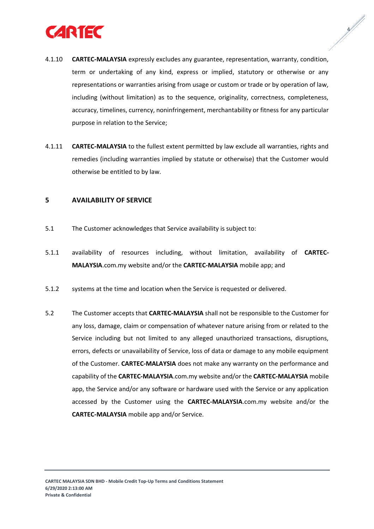

4.1.10 **CARTEC-MALAYSIA** expressly excludes any guarantee, representation, warranty, condition, term or undertaking of any kind, express or implied, statutory or otherwise or any representations or warranties arising from usage or custom or trade or by operation of law, including (without limitation) as to the sequence, originality, correctness, completeness, accuracy, timelines, currency, noninfringement, merchantability or fitness for any particular purpose in relation to the Service;

 $\sqrt{\frac{2}{\pi}}$ 

4.1.11 **CARTEC-MALAYSIA** to the fullest extent permitted by law exclude all warranties, rights and remedies (including warranties implied by statute or otherwise) that the Customer would otherwise be entitled to by law.

#### **5 AVAILABILITY OF SERVICE**

- 5.1 The Customer acknowledges that Service availability is subject to:
- 5.1.1 availability of resources including, without limitation, availability of **CARTEC-MALAYSIA**.com.my website and/or the **CARTEC-MALAYSIA** mobile app; and
- 5.1.2 systems at the time and location when the Service is requested or delivered.
- 5.2 The Customer accepts that **CARTEC-MALAYSIA** shall not be responsible to the Customer for any loss, damage, claim or compensation of whatever nature arising from or related to the Service including but not limited to any alleged unauthorized transactions, disruptions, errors, defects or unavailability of Service, loss of data or damage to any mobile equipment of the Customer. **CARTEC-MALAYSIA** does not make any warranty on the performance and capability of the **CARTEC-MALAYSIA**.com.my website and/or the **CARTEC-MALAYSIA** mobile app, the Service and/or any software or hardware used with the Service or any application accessed by the Customer using the **CARTEC-MALAYSIA**.com.my website and/or the **CARTEC-MALAYSIA** mobile app and/or Service.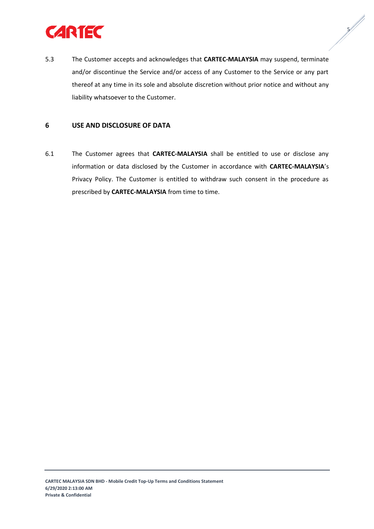

5.3 The Customer accepts and acknowledges that **CARTEC-MALAYSIA** may suspend, terminate and/or discontinue the Service and/or access of any Customer to the Service or any part thereof at any time in its sole and absolute discretion without prior notice and without any liability whatsoever to the Customer.

**5/1/1** 

### **6 USE AND DISCLOSURE OF DATA**

6.1 The Customer agrees that **CARTEC-MALAYSIA** shall be entitled to use or disclose any information or data disclosed by the Customer in accordance with **CARTEC-MALAYSIA**'s Privacy Policy. The Customer is entitled to withdraw such consent in the procedure as prescribed by **CARTEC-MALAYSIA** from time to time.